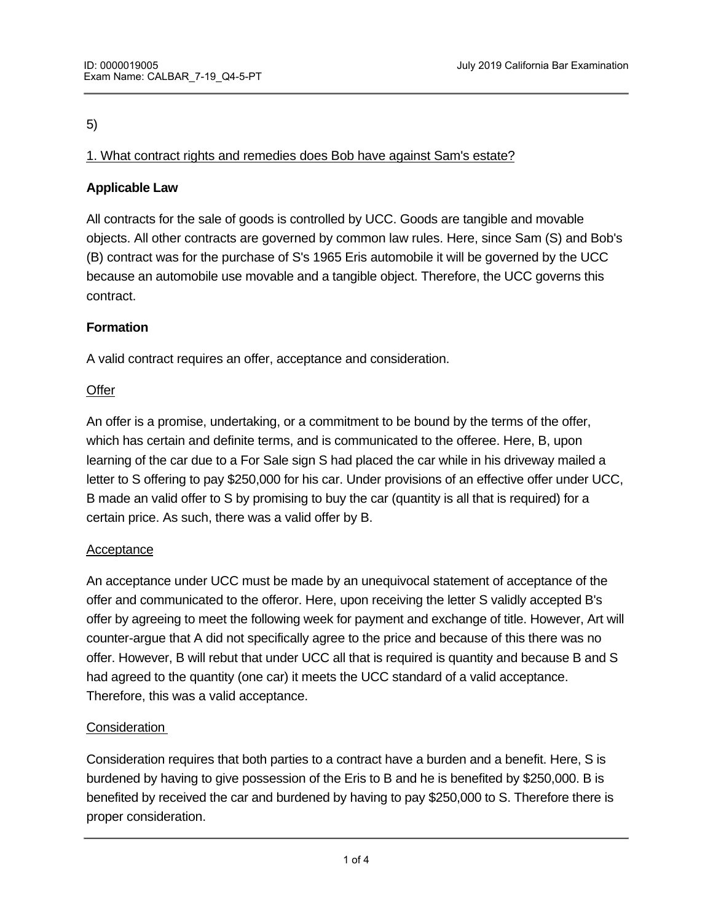## 5)

## 1. What contract rights and remedies does Bob have against Sam's estate?

## **Applicable Law**

All contracts for the sale of goods is controlled by UCC. Goods are tangible and movable objects. All other contracts are governed by common law rules. Here, since Sam (S) and Bob's (B) contract was for the purchase of S's 1965 Eris automobile it will be governed by the UCC because an automobile use movable and a tangible object. Therefore, the UCC governs this contract.

## **Formation**

A valid contract requires an offer, acceptance and consideration.

## **Offer**

An offer is a promise, undertaking, or a commitment to be bound by the terms of the offer, which has certain and definite terms, and is communicated to the offeree. Here, B, upon learning of the car due to a For Sale sign S had placed the car while in his driveway mailed a letter to S offering to pay \$250,000 for his car. Under provisions of an effective offer under UCC, B made an valid offer to S by promising to buy the car (quantity is all that is required) for a certain price. As such, there was a valid offer by B.

## Acceptance

An acceptance under UCC must be made by an unequivocal statement of acceptance of the offer and communicated to the offeror. Here, upon receiving the letter S validly accepted B's offer by agreeing to meet the following week for payment and exchange of title. However, Art will counter-argue that A did not specifically agree to the price and because of this there was no offer. However, B will rebut that under UCC all that is required is quantity and because B and S had agreed to the quantity (one car) it meets the UCC standard of a valid acceptance. Therefore, this was a valid acceptance.

# **Consideration**

Consideration requires that both parties to a contract have a burden and a benefit. Here, S is burdened by having to give possession of the Eris to B and he is benefited by \$250,000. B is benefited by received the car and burdened by having to pay \$250,000 to S. Therefore there is proper consideration.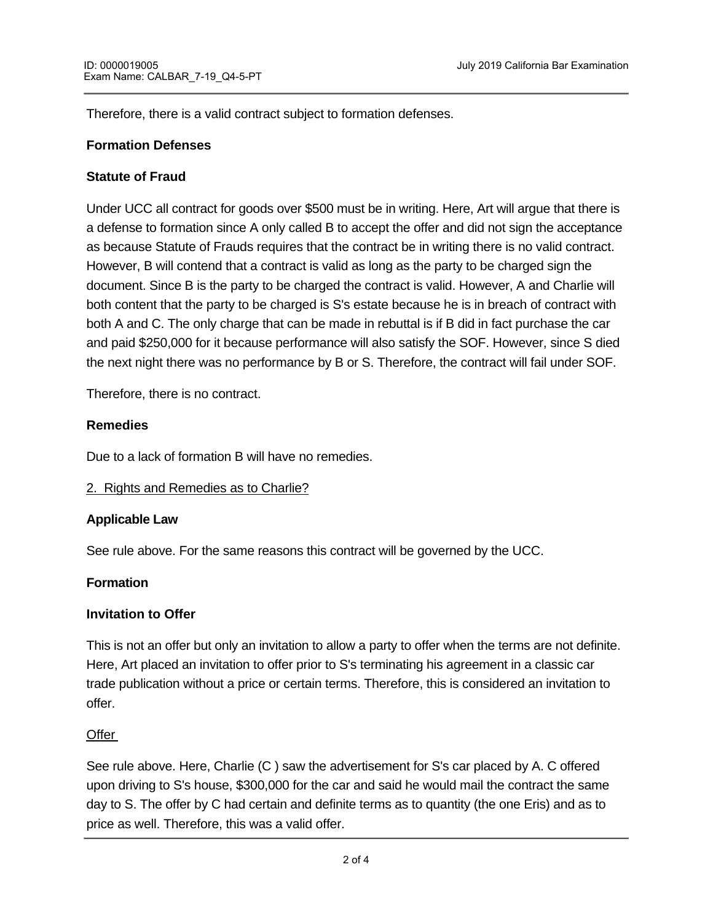Therefore, there is a valid contract subject to formation defenses.

## **Formation Defenses**

## **Statute of Fraud**

Under UCC all contract for goods over \$500 must be in writing. Here, Art will argue that there is a defense to formation since A only called B to accept the offer and did not sign the acceptance as because Statute of Frauds requires that the contract be in writing there is no valid contract. However, B will contend that a contract is valid as long as the party to be charged sign the document. Since B is the party to be charged the contract is valid. However, A and Charlie will both content that the party to be charged is S's estate because he is in breach of contract with both A and C. The only charge that can be made in rebuttal is if B did in fact purchase the car and paid \$250,000 for it because performance will also satisfy the SOF. However, since S died the next night there was no performance by B or S. Therefore, the contract will fail under SOF.

Therefore, there is no contract.

## **Remedies**

Due to a lack of formation B will have no remedies.

### 2. Rights and Remedies as to Charlie?

### **Applicable Law**

See rule above. For the same reasons this contract will be governed by the UCC.

### **Formation**

### **Invitation to Offer**

This is not an offer but only an invitation to allow a party to offer when the terms are not definite. Here, Art placed an invitation to offer prior to S's terminating his agreement in a classic car trade publication without a price or certain terms. Therefore, this is considered an invitation to offer.

### **Offer**

See rule above. Here, Charlie (C ) saw the advertisement for S's car placed by A. C offered upon driving to S's house, \$300,000 for the car and said he would mail the contract the same day to S. The offer by C had certain and definite terms as to quantity (the one Eris) and as to price as well. Therefore, this was a valid offer.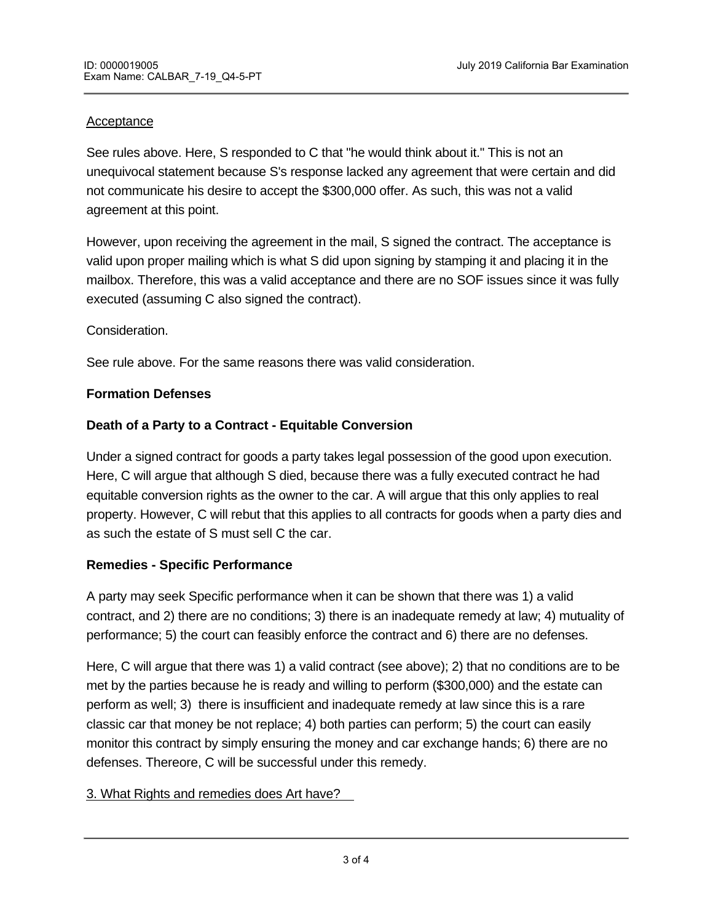price as well. Therefore, this was a valid offer.

## **Acceptance**

See rules above. Here, S responded to C that "he would think about it." This is not an unequivocal statement because S's response lacked any agreement that were certain and did not communicate his desire to accept the \$300,000 offer. As such, this was not a valid agreement at this point.

However, upon receiving the agreement in the mail, S signed the contract. The acceptance is valid upon proper mailing which is what S did upon signing by stamping it and placing it in the mailbox. Therefore, this was a valid acceptance and there are no SOF issues since it was fully executed (assuming C also signed the contract).

## Consideration.

See rule above. For the same reasons there was valid consideration.

## **Formation Defenses**

## **Death of a Party to a Contract - Equitable Conversion**

Under a signed contract for goods a party takes legal possession of the good upon execution. Here, C will argue that although S died, because there was a fully executed contract he had equitable conversion rights as the owner to the car. A will argue that this only applies to real property. However, C will rebut that this applies to all contracts for goods when a party dies and as such the estate of S must sell C the car.

### **Remedies - Specific Performance**

A party may seek Specific performance when it can be shown that there was 1) a valid contract, and 2) there are no conditions; 3) there is an inadequate remedy at law; 4) mutuality of performance; 5) the court can feasibly enforce the contract and 6) there are no defenses.

Here, C will argue that there was 1) a valid contract (see above); 2) that no conditions are to be met by the parties because he is ready and willing to perform (\$300,000) and the estate can perform as well; 3) there is insufficient and inadequate remedy at law since this is a rare classic car that money be not replace; 4) both parties can perform; 5) the court can easily monitor this contract by simply ensuring the money and car exchange hands; 6) there are no defenses. Thereore, C will be successful under this remedy.

## 3. What Rights and remedies does Art have?